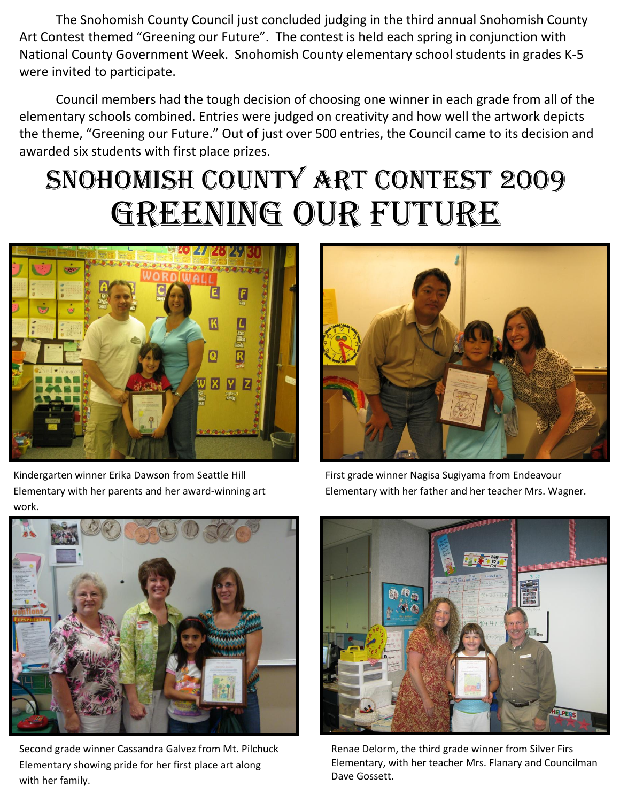The Snohomish County Council just concluded judging in the third annual Snohomish County Art Contest themed "Greening our Future". The contest is held each spring in conjunction with National County Government Week. Snohomish County elementary school students in grades K-5 were invited to participate.

Council members had the tough decision of choosing one winner in each grade from all of the elementary schools combined. Entries were judged on creativity and how well the artwork depicts the theme, "Greening our Future." Out of just over 500 entries, the Council came to its decision and awarded six students with first place prizes.

## Snohomish County Art Contest 2009 GREENING OUR FUTURE





Kindergarten winner Erika Dawson from Seattle Hill Elementary with her parents and her award-winning art work.

First grade winner Nagisa Sugiyama from Endeavour Elementary with her father and her teacher Mrs. Wagner.



Second grade winner Cassandra Galvez from Mt. Pilchuck Elementary showing pride for her first place art along with her family.



Renae Delorm, the third grade winner from Silver Firs Elementary, with her teacher Mrs. Flanary and Councilman Dave Gossett.